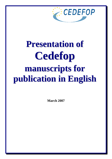

# **Presentation of Cedefop manuscripts for publication in English**

**March 2007**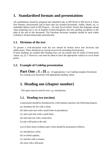# **1. Standardised formats and presentations**

All contributions should be prepared and submitted only in MS Word or MS Excel in Times New Roman, electronically and in hard copy (no scanned documents, Adobe, Quark, etc. or embedded objects (such as MS Project) – use only Excel charts). Ensure that language setting when preparing text is set on English (United Kingdom), but note spelling exceptions in the table at the end of this document. The Eurolook electronic template should be used within Cedefop to format manuscripts automatically.

## **1.1. Divisions of the text**

To present a well-structured work the text should be broken down into divisions and subdivisions. These should never exceed seven levels (including listed points). If more headings are needed after heading four, use (in roman) may be made of listed point values: (a), (i),  $\bullet$ . However, care must be taken to leave the appropriate value(s) to cover listed points.

## **1.2. Example of Cedefop presentation**

Part One or **I** or **II**, etc. (if appropriate). Use Cedefop template (Eurolook) for creating your document with appropriate heading values.

# **1. Heading one (chapter number)**

This space may be used for text, e.g. introduction.

## **1.1. Heading two (section)**

Listed points should be introduced by a full sentence and have the following features:

- (a) introduce the list with a colon;
- (b) label each item with a small letter in parentheses;
- (c) start each item with a small letter;
- (d) end each one with a semicolon;
- (e) put a full point at the end.

List of short items (without main verbs) should be presented as follows:

- (a) introductory colon,
- (b) no initial capitals,
- (c) end line with a comma,
- (d) close with a full point.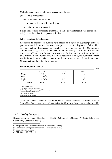Multiple listed points should never exceed three levels:

- (a) each level is indented:
	- (i) begin indent with a colon:
		- end each item with a semicolon;
	- (ii) put a full point at the end.

Bullets may be used for special emphasis, but in no circumstances should dashes (en rules) be used – either for emphasis or in lists.

#### **1.1.1. Heading three (section)**

References to footnotes in running text appear as a figure in superscript between parentheses with the same value as the text, preceded by a fixed space and followed by any punctuation. References to Cedefop $(1)$  $(1)$  $(1)$  also appear in the Commission communication  $(2)$  $(2)$  $(2)$ , but not in the text of the Council  $(3)$  $(3)$  $(3)$ . The footnote is always composed in Times New Roman. However rules for texts or titles written in italic or bold remain. When a reference to a footnote appears in a table, the note must appear within the table frame. Other elements can feature at the bottom of a table: asterisk, NB, source(s) in the order shown below.

#### **Unemployment rates (\*)**

|              |              |         |         | (%) |
|--------------|--------------|---------|---------|-----|
|              | 1995/96 (**) | 1996/97 | 2000/01 |     |
| Moon         |              |         | 1.4     |     |
| Sun          |              | . . 2   | 1.3     |     |
| Jupiter      | -            | 9.6     | 9.7     |     |
| <b>Total</b> |              | 2.1     | 12.4    |     |

(\*) Fictitious scenario.

 $(**)$  Half of 1995 was cancelled.

 $(1)$  This figure applies to those aged 200 or more.

( 2 ) This figure includes refugees.

NB: Provisional figures. *Source: Intergalaxy news.*

The word '*Source:*' should always be in italics. The actual source details should be in Times New Roman, with usual rules applying for titles, etc. to be written in italics or bold.

#### *1.1.1.1. Heading four (point)*

Having regard to Council Regulation (EEC) No 2913/92 of 12 October 1992 establishing the Community Customs Code  $\binom{4}{1}$  $\binom{4}{1}$  $\binom{4}{1}$ , ...

<span id="page-2-1"></span>( 2 ) Commission white paper on vocational education and training.

1

<span id="page-2-0"></span><sup>(</sup> 1 ) European Centre for the Development of Vocational Training.

<span id="page-2-2"></span> $\lambda^{3}$ ) Council draft regulation.

<span id="page-2-3"></span> $(4)$  OJ L 302, 19.10.1992, p. 1.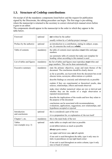## **1.3. Structure of Cedefop contributions**

On receipt of all the mandatory components listed below and the request for publication signed by the Directorate, the editing procedure can begin. The first stage is pre-editing, where the manuscript is returned to the secretary to correct clerical/style manual errors before it goes to an editor.

The components should appear in the manuscript in the order in which they appear in the table below.

| Foreword                   | optional  | not written by the author                                                                                                                                |  |  |
|----------------------------|-----------|----------------------------------------------------------------------------------------------------------------------------------------------------------|--|--|
|                            |           | usually written by a Cedefop project manager                                                                                                             |  |  |
| Preface by the author(s)   | optional  | an introduction to a contribution, stating its subject, scope,<br>etc. (it concerns the work as a whole)                                                 |  |  |
| Table of contents          | mandatory | the table of contents must reproduce exact titles and page<br>numbers                                                                                    |  |  |
|                            |           | use automatic table of contents but make sure template for<br>heading values according to this manual is used                                            |  |  |
| List of tables and figures | mandatory | the list of tables and figures must reproduce exact titles and<br>page numbers. This can be done automatically                                           |  |  |
| Executive summary          | mandatory | state the primary objectives, scope and main themes of the<br>document. The conclusions should be clearly shown                                          |  |  |
|                            |           | as far as possible, use keywords from the document but avoid<br>obscure terms, acronyms, abbreviations or symbols                                        |  |  |
|                            |           | describe findings as concisely and informatively as possible                                                                                             |  |  |
|                            |           | explain if they are experimental or theoretical results, data<br>sources, relationships, effects and trends observed                                     |  |  |
|                            |           | make clear whether numerical values are raw or derived and<br>whether they are the results of a single observation or<br>repeated measurements           |  |  |
|                            |           | describe the implications of the results and how they relate to<br>the purpose of the document                                                           |  |  |
|                            |           | conclusions can be associated with recommendations,<br>evaluations, applications, suggestions, new relationships, and<br>hypotheses accepted or rejected |  |  |
| Introduction               | optional  | this is considered a part of the text                                                                                                                    |  |  |
| and conclusions            |           | it is a preparation for, or explanation of, the text itself                                                                                              |  |  |
| Chapter 1, etc.            | mandatory | this is the main body of the text                                                                                                                        |  |  |
| Tables                     | optional  | make tables as simple and clear as possible                                                                                                              |  |  |
| (see example on p. 3)      |           | avoid abbreviations as much as possible                                                                                                                  |  |  |
|                            |           | always quote source                                                                                                                                      |  |  |
|                            |           | use upper and lower case, not all capitals                                                                                                               |  |  |
|                            |           | if one unit is used throughout the table, type it only once in<br>italic in parentheses on top right hand corner                                         |  |  |
|                            |           | if one unit is used throughout an entire column, type it only<br>once at head of column                                                                  |  |  |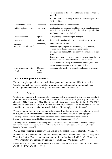|                                  |                                | for explanations at the foot of tables (other than footnotes),<br>use 'NB'                                                                                        |
|----------------------------------|--------------------------------|-------------------------------------------------------------------------------------------------------------------------------------------------------------------|
|                                  |                                | use 'million EUR' as a key in table, but in running text use<br>EUR 1 million                                                                                     |
| List of abbreviations            | mandatory                      | glossary of terms and abbreviations                                                                                                                               |
| Bibliography/references          | mandatory                      | must contain all works referred to in the text in alphabetical<br>order (including table sources) at the end of the publication<br>use Cedefop format (see below) |
| Index/keywords                   | optional                       | as required by Cedefop project manager                                                                                                                            |
| Annexes                          | optional                       | for example: legal provisions, benchmark statistics, etc.                                                                                                         |
| Abstract                         | mandatory                      | approximately 150 words                                                                                                                                           |
| (appears on back cover)          |                                | cite the subject, objectives, methodological principles,<br>sources, main themes, results and conclusions                                                         |
|                                  |                                | use keywords that could be utilised by a computer to select<br>texts                                                                                              |
|                                  |                                | do not use jargon or obscure terms, acronyms, abbreviations<br>or symbols unless they are defined in the summary                                                  |
|                                  |                                | if work consists of many different contributions, each one<br>should be accompanied by a very short abstract                                                      |
| Flyer (Reference series<br>only) | Mandatory<br>for Ref<br>series | Maximum 530 words. For promotion of paid publications.                                                                                                            |

#### **1.3.1. Bibliographies and references**

This section gives guidelines on how bibliographies and citations should be formatted in Cedefop publications. Further detailed information can be found in the Bibliography and citation guide issued by the Cedefop library and documentation services.

#### *1.3.1.1. Citations*

Citations in running text correspond to references in the bibliography. The Harvard standard uses the author's surname, or institution where appropriate, and the year of publication, i.e. (Barrett, 1991), (Cedefop, 1999). The bibliography is arranged according to the ISO 690:1987 standard, in alphabetical order by author or other first element. The bibliographies can be found in a section at the end of a text called either 'Bibliography' or 'References'.

Where an author has two or more publications cited from the same year, they should be listed as a, b, and so on, for example (Tessaring, 1999a) in running text. In the bibliography:

Tessaring, Manfred. *Glossary of technical terms in education, training and labour market research*. Luxembourg: Office for Official Publications of the European Communities, 1999 (a).

Tessaring, Manfred. *Training for a changing society: a report on current vocational education and training research in Europe.* Luxembourg: Office for Official Publications of the European Communities, 1999 (b). (Cedefop Reference series, 46.)

When a page reference is necessary (this applies to all quoted passages): (Smith, 1999, p. 17).

If there are two authors, both authors' names are cited, linked with 'and': (Descy and Tessaring, 2001). If more than two authors, the first author is cited with 'et al.' (Smith et al., 1999). Where two publications are referred to: (Smith, A., 1990; Smith, J., 1995).

Please note that where authors share the same surname, the initial should be included: (Smith, A., 1990), (Smith, J., 1995).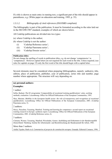If a title is shown as main entry in running text, a significant part of the title should appear in parentheses, e.g. (White paper on education and training, 1995, p. 35).

#### *1.3.1.2. Bibliography of cited references (ISO/ISBD compliant)*

The bibliography is part of the publication. It must be formatted according to the rules laid out in the ISO 690:1987 standard, examples of which are shown below.

All Cedefop publications are divided into two types:

- (a) where Cedefop is the author;
- (b) where Cedefop is not the author:
	- (i) 'Cedefop Reference series';
	- (ii) 'Cedefop Panorama series';
	- (iii) 'Cedefop Dossier series'.

#### **Publication titles:**

Do not change the spelling of words in publication titles, e.g. do not change 'competencies' to 'competences'. However capital letters are not required for each word in the title. Unless required, (see rules for capitals on page 15) only the first word of the title should begin with a capital letter.

Several elements must be considered when preparing bibliographies, namely: author(s), title, edition, place of publication, publisher, year of publication, series title and number, page number where appropriate. The structure will vary depending on:

#### **(a) personal authors:**

#### **Examples:**

1 author:

Sellin, Burkart. *The EC programme 'Comparability of vocational training qualifications': aims, working methods, evaluation*. Luxembourg: Office for Official Publications of the European Communities, 1991.

Skar, Mariann. *Mobility in the European health sector: the role of transparency and recognition of vocational qualifications*. Luxembourg: Office for Official Publications of the European Communities, 2001. (Cedefop Panorama series, 5).

#### 2 authors:

Descy, Pascaline; Tessaring, Manfred. *Training and learning for competence: second report on vocational training research in Europe: synthesis report*. Luxembourg: Office for Official Publications of the European Communities, 2001. (Cedefop Reference series, 6).

3 authors:

Clement, Werner; Tessaring, Manfred; Weisshuhn, Gernot. *Ausbildung und Einkommen in der Bundesrepublik Deutschland*. Nürnberg: Institut für Arbeitsmarkt- und Berufsforschung der Bundesanstalt für Arbeit, 1983.

More than 3 authors:

Ardila Tejedor, Ruth et al*. Comentarios al proyecto de constitución europea*. Granada: Editorial Comares, 1996.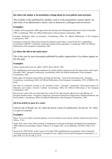#### **(b) where the author is an institution writing about its own policies and activities:**

This includes works published by mandate, such as work programmes, annual reports, etc. and works of an administrative nature, such as directories, catalogues and inventories.

#### **Examples:**

Cedefop. *Work programme 2000: approved at the meeting of the Management Board of 23 and 24 November 1999*. Luxembourg: Office for Official Publications of the European Communities, 2000.

European Parliament, *Rules of procedure*. Luxembourg: Office for Official Publications of the European Communities, 1999.

European Commission, Directorate General for Education and Culture. *Leonardo da Vinci compendium – Second phase 2000-06: Community vocational training action programme*. Luxembourg: Office for Official Publications of the European Communities, 2001.

#### **(c) where the title is the main entry:**

This is the case for most documents published by public organisations if no authors appear on the title page.

#### **Examples:**

*Labour market policies for the 1990s /* OECD. Paris: OECD, 1990.

*The simplification of the operating regulations for public limited companies in the European Union: final report, December 1995* / European Commission. Luxembourg: Office for Official Publications of the European Communities, 1996.

*White paper on education and training: teaching and learning* – *towards the learning society* / European Commission. Luxembourg: Office for Official Publications of the European Communities, 1995. (COM(95) 590 final).

*Key data on vocational training in the European Union* / European Commission, Directorate-General for Education and Culture; Eurostat; Cedefop. Luxembourg: Office for Official Publications of the European Communities, 1997.

*Best practice: state of the art and perspectives in the EU for improving the effectiveness and efficiency of European health systems* / European Commission, Directorate-General for Employment, Industrial Relations and Social Affairs. Luxembourg: Office for Official Publications of the European Communities, 1999.

#### **(d) if an article or part of a work:**

General rule of thumb: use 'In' when the article is part of a publication. Do not use 'In' when it is part of a journal.

#### **Examples:**

Shavit, Yves et al. Adult vocational guidance. In *From school to work*, 2nd ed. Oxford: Oxford University Press, 1998, p. 57-83.

Smith, John; Jones, Paul. Online training. In *Symposium on antenna technology and applied electromagnetics: 1998 conference proceedings; Ottawa, Ontario, 9-12 August 1997*, 1st ed. Manitoba: ANTEM, 1998, p. 671- 685.

Decision No 1999/382/EC of the Council of 26 April 1999 establishing the second phase of the Community vocational training action programme 'Leonardo da Vinci'. *Official Journal of the European Communities L*, 11 June 1999, Vol. 43, No 146, p. 33-47.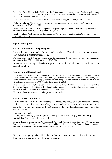Bainbridge, Steve; Murray, Julie. Political and legal framework for the development of training policy in the European Union: Part I – From the Treaty of Rome to the Treaty of Maastricht. *European Journal Vocational Training*, May-August 2000, No 20, p. 5-18.

Economic transformation in Hungary and Poland. *European Economy,* March 1990, No 43, p. 151-167.

Matheson, Catherine; Matheson, David. Languages of Scotland: culture and the classroom. *Comparative education*, Vol. 36, No 2, p. 211-221.

Smith, John; Jones, Paul; Müller, Rolf. Coping with surpluses: repaying national debt is becoming increasingly fashionable. *The Economist*, 20-26 May 2000, No 23, p. 46.

Wrigley, William. Parish registers and the historian. In Weaver, Ronald (ed.). *National index of parish registers*, 1968, Vol. 1, p. 155-167.

#### **(e) other examples:**

#### **Citation of works in a foreign language:**

Information such as p., Vol., No, etc. should be given in English, even if the publication is only available in another language, e.g.:

Die Programme der EU in der europäischen Bildungspolitik [special issue on European educational programmes]. *Berufsbildung*, 1999(a), Vol. 53, No 3, 63 p.

Also note the use of square brackets to present information which is not part of the work, or rough translations.

#### **Citation of multilingual works:**

Bjornavold, Jens; Sellin, Burkart. Recognition and transparency of vocational qualifications: the way forward = Reconnaissance et transparence des qualifications professionnelles: la voie à suivre = Anerkennung und Transparenz von beruflichen Befähigungsnachweisen: neue Wege. Luxembourg: Office for Official Publications of the European Communities, 1998. (Cedefop Panorama series, 5085.)

Union of Industrial and Employers' Confederations of Europe, UNICE. Leitlinien für partnerschaftlich gestaltete Zulieferbeziehungen im Industriebereich = Guidelines for partnership in industrial subcontracting. Luxembourg: Office for Official Publications of the European Communities, 1997.

Note use of  $=$  sign between each language version title.

#### **Citation of electronic sources:**

An electronic document may be the same as a printed one, however, it can be modified during its life cycle, in which case dates of any changes made are a necessary element to include. If some data which do not appear in the publication are known, this information can be added in square brackets.

Mandatory elements:

Primary responsibility [Date of update/revision]. Name of website. [Type of medium]. Availability from Internet [Date visited].

Example: European Centre for the Development of Vocational Training-Cedefop [February 1999]. Library and Documentation Service – Training Village [online]. Available from Internet: [http://www.trainingvillage.gr/etv/information\\_resources/library/ \[](http://www.trainingvillage.gr/etv/information_resources/library/)cited 12.1.2005].

If the text is not going to be published on the Internet remove the hyperlink together with the blue font and underlining from the web page address.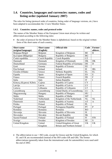## **1.4. Countries, languages and currencies: names, codes and listing order (updated January 2007)**

The rules for listing (protocol order of countries, listing order of language versions, etc.) have been adapted to accommodate the 12 new Member States.

#### **1.4.1. Countries: names, codes and protocol order**

The names of the Member States of the European Union must always be written and abbreviated according to the following rules:

• the order of protocol for the Member States is alphabetical, based on the original written form of the short name of each country;

| <b>Short name</b>       | <b>Short name</b> | <b>Official title</b>        | Code       | <b>Former</b>  |
|-------------------------|-------------------|------------------------------|------------|----------------|
| (original language)     | (English)         |                              |            | abbrev.        |
| Belgique/België         | Belgium           | Kingdom of Belgium           | <b>BE</b>  | $\bf{B}$       |
| България (Bălgarija)    | Bulgaria          | Republic of Bulgaria         | <b>BG</b>  |                |
| Česká republika         | Czech Republic    | Czech Republic               | CZ         |                |
| Danmark                 | Denmark           | Kingdom of Denmark           | <b>DK</b>  | <b>DK</b>      |
| Deutschland             | Germany           | Federal Republic of Germany  | DE         | D              |
| Eesti                   | Estonia           | Republic of Estonia          | EE         |                |
| Éire/Ireland            | Ireland           | Ireland                      | IE         | <b>IRL</b>     |
| Ελλάδα (Elláda)         | Greece            | Hellenic Republic            | EL         | EL             |
| España                  | Spain             | Kingdom of Spain             | ES         | E              |
| France                  | France            | French Republic              | <b>FR</b>  | $\overline{F}$ |
| Italia                  | Italy             | Italian Republic             | IT         | $\mathbf I$    |
| Κύπγος (Kypros)/ Kibris | Cyprus            | Republic of Cyprus           | <b>CY</b>  |                |
| Latvija                 | Latvia            | Republic of Latvia           | LV         |                |
| Lietuva                 | Lithuania         | Republic of Lithuania        | LT         |                |
| Luxembourg              | Luxembourg        | Grand Duchy of Luxembourg    | LU         | L              |
| Magyarország            | Hungary           | Republic of Hungary          | HU         |                |
| Malta                   | Malta             | Republic of Malta            | MT         |                |
| Nederland               | Netherlands       | Kingdom of the Netherlands   | NL         | <b>NL</b>      |
| Österreich              | Austria           | Republic of Austria          | AT         | $\mathbf{A}$   |
| Polska                  | Poland            | Republic of Poland           | <b>PL</b>  |                |
| Portugal                | Portugal          | Portuguese Republic          | PT         | $\mathbf{P}$   |
| România                 | Romania           | Romania                      | <b>RO</b>  |                |
| Slovenija               | Slovenia          | Republic of Slovenia         | SI         |                |
| Slovensko               | Slovakia          | Slovak Republic              | <b>SK</b>  |                |
| Suomi/Finland           | Finland           | Republic of Finland          | ${\rm FI}$ | <b>FIN</b>     |
| Sverige                 | Sweden            | Kingdom of Sweden            | $\rm SE$   | S              |
| <b>United Kingdom</b>   | United            | United Kingdom of Great      | <b>UK</b>  | <b>UK</b>      |
|                         | Kingdom           | Britain and Northern Ireland |            |                |

• The abbreviation to use = ISO code, except for Greece and the United Kingdom, for which EL and UK are recommended (instead of the ISO codes GR and GB). The former abbreviations (generally taken from the international code for automobiles) were used until the end of 2002.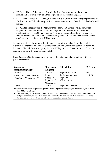- NB: Ireland is the full name laid down in the Irish Constitution; the short name is Éire/Ireland. Republic of Ireland/Irish Republic are incorrect in English.
- Use 'the Netherlands' not Holland, which is only part of the Netherlands (the provinces of North and South Holland); a capital T is not necessary on 'the'. In tables 'Netherlands' will suffice.
- Use 'United Kingdom' for the Member State, not 'Great Britain', which comprises England, Scotland and Wales; these three together with Northern Ireland are the constituent parts of the United Kingdom. The purely geographical term 'British Isles' includes Ireland and the Crown Dependencies (the Isle of Man and the Channel Islands which are not part of the United Kingdom).

In running text, use the above order of country names for Member States, but English alphabetical order if a list includes candidate and/or non-Community countries: Australia, Denmark, Finland, Romania, Spain, the United Kingdom, etc. Do not use the ISO code in running text; write the country name in full.

Since January 2007, three countries remain on the list of candidate countries (CCs) for possible accession:

| <b>Short name</b>        | <b>Short name</b> | <b>Official title</b> | <b>ISO</b> code |
|--------------------------|-------------------|-----------------------|-----------------|
| (original language)      | (English)         |                       |                 |
| Hrvatski                 | Croatia           | Republic of Croatia   | <b>HR</b>       |
| поранешна југословенска  | former            | the former Yugoslav   | MK <sup>1</sup> |
| Република Македонија (*) | Yugoslav          | Republic              |                 |
|                          | Republic of       | of Macedonia          |                 |
|                          | Macedonia,        |                       |                 |
| Türkiye                  | Turkey            | Republic of Turkey    | TR              |

([\\*\)](http://publications.europa.eu/code/pdf/370000en.htm#fn*cand#fn*cand) Latin transliteration: поранешна југословенска Република Македонија = poranešna jugoslovenska Republika Makedonija.

( [1](http://publications.europa.eu/code/pdf/370000en.htm#fn1-1#fn1-1) ) The ISO code (MK) is accepted, subject to addition of the following note: 'Provisional code which does not prejudge in any way the definitive nomenclature for this country, which will be agreed following the conclusion of negotiations currently taking place at the United Nations'.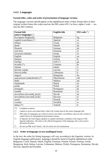### **1.4.2. Languages**

#### **Formal titles, codes and order of presentation of language versions**

The language versions should appear in the alphabetical order of their formal titles in their original written forms (the codes used are the ISO codes 639-1 in force, alpha-2 code — see also the ISO website).

| <b>Formal title</b>                 | <b>English title</b> | <b>ISO</b> code $(^2)$ |
|-------------------------------------|----------------------|------------------------|
| (source language) $(^1)$            |                      |                        |
| български (bulgarski)               | Bulgarian            | bg                     |
| español (castellano) $\binom{3}{2}$ | Spanish              | es                     |
| čeština                             | Czech                | $\mathbf{c}\mathbf{s}$ |
| dansk                               | Danish               | da                     |
| Deutsch                             | German               | de                     |
| eesti keel                          | Estonian             | et                     |
| ελληνικά (elliniká)                 | Greek                | el                     |
| English                             | English              | en                     |
| français                            | French               | $\operatorname{fr}$    |
| Gaeilge                             | Irish $(^4)$         | ga                     |
| hrvatski $(\overline{\ast})$        | Croatian             | hr                     |
| italiano                            | Italian              | $\overline{\text{it}}$ |
| latviešu valoda                     | Latvian              | 1v                     |
| lietuvių kalba                      | Lithuanian           | <sup>1</sup> t         |
| magyar                              | Hungarian            | hu                     |
| македонски (makedonski) (*)         | Macedonian           | mk                     |
| Malti                               | Maltese              | mt                     |
| Nederlands                          | Dutch                | nl                     |
| polski                              | Polish               | pl                     |
| português                           | Portuguese           | pt                     |
| română                              | Romanian             | ro                     |
| slovenčina (slovenský jazyk)        | Slovak               | sk                     |
| slovenščina (slovenski jezik)       | Slovene              | sl                     |
| suomi                               | Finnish              | $\overline{f}$         |
| svenska                             | Swedish              | SV                     |
| türkçe $(*)$                        | Turkish              | tr                     |

(\*) Candidate countries.

 $($ <sup>1</sup> ) Capital or lower-case initial letter: follow the written form in the source language title.

 $($ <sup>2</sup> ) ISO codes for languages are written in lower-case letters; nevertheless, they are also written in capital letters for typographical presentation reasons.

 $\int_0^3$ ) In Spanish, the term lengua española or español substitutes castellano at the request of the Spanish authorities. The latter is the official designation of the language, but is only used to determine the place.

 $($ <sup>4</sup> ) Do not use the word 'Gaelic', the two terms are not synonymous.

#### **1.4.3. Order of languages in text (unilingual texts)**

In the text, the order for listing languages will vary according to the linguistic version. In English-language publications, languages should be listed in English alphabetical order: Bulgarian, Czech, Danish, Dutch, English, Estonian, Finnish, French, German, Greek, Hungarian, Irish, Italian, Latvian, Lithuanian, Maltese, Polish, Portuguese, Romanian, Slovak, Slovene, Spanish and Swedish.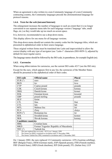When an agreement is also written in a non-Community language of a non-Community contracting country, the Community languages precede the aforementioned language for protocol reasons.

#### **1.4.4. Texts for the web (intranet/Internet)**

The enlargement increases the number of languages to such an extent that it is no longer convenient to use separate menu tabs for each language version ('language' tabs, small flags, etc.) as they would take up too much on-screen space.

It is, however, recommended to use a drop-down menu.

This display allows for one menu for all language versions.

This drop-down menu should not contain the country codes but the language titles, which are presented in alphabetical order in their source language.

These original written forms must be translated into Latin and impoverished to allow the correct display with any type of navigator (use 'Latin-1' characters (ISO-8859-1), adjusted by default for most regular users).

The language names should be followed by the ISO code, in parentheses, for example English (en).

#### **1.4.5. Currencies**

When using abbreviations for currencies, use the current ISO codes 4217 (see the ISO site).

Except for the euro, which appears first in any list, the currencies of the Member States should be presented in the alphabetical order of their codes.

| <b>Candidate countries</b> |  |  |
|----------------------------|--|--|
|                            |  |  |
|                            |  |  |
|                            |  |  |
|                            |  |  |
|                            |  |  |
|                            |  |  |

On 1 January 2002, the euro replaced 12 Community currencies: ATS (Austrian schilling), BEF (Belgian Franc), DEM (German mark), ESP (Spanish peseta), FIM (Finnish markka), FRF (French franc), GRD (Greek drachma), IEP (Irish pound), ITL (Italian lira), LUF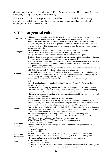(Luxembourg franc), NLG (Dutch guilder), PTE (Portuguese escudo). On 1 January 2007 the tolar (SIT) was replaced by the euro (Slovenia).

Note that the US dollar is always abbreviated as USD, e.g. USD 1 million. No currency symbols, such as  $f$ ,  $\$ and  $f$  should be used. All currency codes should appear before the amount, i.e. EUR 500 and GBP 5 000.

# **2. Table of general rules**

| <b>Abbreviations</b> | Abbreviations should be avoided if the sense is not clear. Spell out the abbreviation at the first                                                                 |  |  |  |
|----------------------|--------------------------------------------------------------------------------------------------------------------------------------------------------------------|--|--|--|
|                      | mention, add the abbreviation in parentheses and use the abbreviation thereafter.                                                                                  |  |  |  |
|                      | Note the difference between a true abbreviation, in which the end of the word is lopped off                                                                        |  |  |  |
|                      | (vol., co., inc.) and a contraction or suspension, in which the interior of the word is removed                                                                    |  |  |  |
|                      | (Mr, Dr, contd, Ltd). The contraction is always printed without the final full point, whereas the                                                                  |  |  |  |
|                      | abbreviation retains it.                                                                                                                                           |  |  |  |
| <b>Acronyms</b>      | An acronym is defined as 'a word formed from the initial letters of other words' (e.g. NATO,                                                                       |  |  |  |
|                      | Unesco). Some of these are formed from French titles (e.g. Cedefop).                                                                                               |  |  |  |
|                      | As a general principle, acronyms do not have a full point between the capitals.                                                                                    |  |  |  |
|                      | The first referral to an acronym in running text, should include the full explanation of the name                                                                  |  |  |  |
|                      | followed by the acronym in parentheses, e.g. human resources (HR).                                                                                                 |  |  |  |
|                      | Where an acronym, contraction or abbreviation, including names of programmes, of six letters                                                                       |  |  |  |
|                      | or more can be pronounced, it is printed in upper and lower case (e.g. Unesco, Esprit).                                                                            |  |  |  |
|                      | (Exceptions: Cedra, Phare, etc.)                                                                                                                                   |  |  |  |
|                      | Acronyms of names that are usually used in the plural should be written as they are spoken (e.g.<br>CEECs, SMEs, not CEEC, SME, etc. unless used as an adjective). |  |  |  |
|                      | Use capitals sparingly. They are often employed to excess in commercial and administrative                                                                         |  |  |  |
| <b>Capitals</b>      | circles. When in doubt use lower case, for instance for programme names, headings, reports,                                                                        |  |  |  |
|                      | forums, surveys and white papers. Examples for upper case are:                                                                                                     |  |  |  |
|                      | proper names of institutions, movements: Council of Europe, Christianity, the Crown, the                                                                           |  |  |  |
|                      | State;                                                                                                                                                             |  |  |  |
|                      | party denominations and organisations: Socialist Group, Fianna Fáil Party, but liberal,                                                                            |  |  |  |
|                      | socialist, etc., otherwise;                                                                                                                                        |  |  |  |
|                      | references to Community legislation and the EU: write Regulation, Decision, Directive,                                                                             |  |  |  |
|                      | Annex and Article (followed by a number) with capitals if they refer to specific Community                                                                         |  |  |  |
|                      | acts; use lower case for references to regulations, directives, etc. in a generalised sense and                                                                    |  |  |  |
|                      | when referring to proposed legislation (i.e. draft regulation, a possible new directive on ), EU<br>committees, Member States;                                     |  |  |  |
|                      | names of publications: use a capital for the first word only;                                                                                                      |  |  |  |
|                      | miscellaneous: Figure, Number, Plate (Fig., No, Pl.) and Amendment, Volume, Chapter,                                                                               |  |  |  |
|                      | Section, Article (Vol., Chap., Sect., Art.) should always have an initial capital when followed                                                                    |  |  |  |
|                      | by a numeral; conversely, paragraph, point, line, etc. should not be capitalised.                                                                                  |  |  |  |
|                      | Dates in the text should always be given in their full form (6 June 1992), whereas in footnotes                                                                    |  |  |  |
| <b>Dates</b>         | they should always be abbreviated, i.e. 6.6.1992, not 6.6.92; but use 1991-93, not 1991-1993                                                                       |  |  |  |
|                      | (exceptions: Eurostat titles and other multilingual publications).                                                                                                 |  |  |  |
|                      | NB: 'At its meeting from 23 to 25 July ' not ' 23-25 July ' in running text.                                                                                       |  |  |  |
|                      | Similarly 'At its meeting on 23 and 24 July ' not ' 23/24 July ' in running text.                                                                                  |  |  |  |
|                      | 1991/92 = one year: marketing year, financial year, academic year.                                                                                                 |  |  |  |
|                      | Write: 'Wednesday 25 June 1997' (no comma after day of the week).                                                                                                  |  |  |  |
| Electronic           | 'E-mail: ' (or e-mail) with colon                                                                                                                                  |  |  |  |
| addresses            | first name.familyname@cedefop.europa.eu (see Cedefop internal telephone list for id.s)                                                                             |  |  |  |
|                      | 'Internet:' with colon                                                                                                                                             |  |  |  |
|                      | www.cedefop.europa.eu                                                                                                                                              |  |  |  |
|                      | www.trainingvillage.gr                                                                                                                                             |  |  |  |
| <b>Phone and</b>     | Tel. (44-171) 873 90 90<br>with city code<br>Tel. (352) 49 98 88<br>no city code                                                                                   |  |  |  |
| fax numbers          | Fax (44-171) 873 84 63<br>with city code<br>Fax (352) 49 98 87<br>no city code<br>NB: see inside back cover of all official EU<br>publications for more examples.  |  |  |  |
|                      | The use of italics is restricted to:                                                                                                                               |  |  |  |
| <b>Italics</b>       | (a) book, film or play titles;                                                                                                                                     |  |  |  |
|                      | (b) names of periodicals ('the' in connection with the title should be lower case roman (normal                                                                    |  |  |  |
|                      | type) unless it is known that the article belongs to the title as in The Times);                                                                                   |  |  |  |
|                      |                                                                                                                                                                    |  |  |  |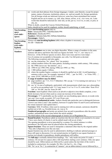| <b>Non-breaking</b><br>space<br>$(ctr l + shift +$<br>space)<br><b>Non-breaking</b><br>hyphen | (c) words and short phrases from foreign languages: Länder, carte blanche; except for proper<br>names, names of persons, institutions, places, etc. and not usually for foreign quotations.<br>Not all foreign words are italicised, however; some have been assimilated into current<br>English and are set in roman, e.g. café, alias, detour, ad hoc, et al., vice versa, etc. Latin<br>words that should be italicised are: inter alia, au fait, per se, vis-à-vis, ex ante, ex post, in<br>situ, etc.<br>When in doubt, consult the Concise Oxford Dictionary.<br>Italics should not be used for emphasis, neither should underlining, or bold!<br>Insert non-breaking spaces (nbs) in<br>Dates: Januarynbs1990, 15nbsMarchnbs1996<br>References: (Smith, nbs1997)<br>Numbers: SEKnbs10nbs500, ESPnbs10nbsbillion<br>Percentages: 10nbs%<br>Always use <b>non-breaking hyphens</b> (nbh) when a hyphen is necessary, e.g.<br>$50-100 = 50$ nbh $100$                                                                                                                                                                                                                                                                                                                                                                                                                                                                                                                                                                                                                                                                                                                                                                                                                                                                                                                                                                                                                                                                                                                                                                                                                                                                                                                                                                                                                                                          |
|-----------------------------------------------------------------------------------------------|--------------------------------------------------------------------------------------------------------------------------------------------------------------------------------------------------------------------------------------------------------------------------------------------------------------------------------------------------------------------------------------------------------------------------------------------------------------------------------------------------------------------------------------------------------------------------------------------------------------------------------------------------------------------------------------------------------------------------------------------------------------------------------------------------------------------------------------------------------------------------------------------------------------------------------------------------------------------------------------------------------------------------------------------------------------------------------------------------------------------------------------------------------------------------------------------------------------------------------------------------------------------------------------------------------------------------------------------------------------------------------------------------------------------------------------------------------------------------------------------------------------------------------------------------------------------------------------------------------------------------------------------------------------------------------------------------------------------------------------------------------------------------------------------------------------------------------------------------------------------------------------------------------------------------------------------------------------------------------------------------------------------------------------------------------------------------------------------------------------------------------------------------------------------------------------------------------------------------------------------------------------------------------------------------------------------------------------------------------------------------------------------------------------------|
| $(ctr l + shift +$<br>hyphen)                                                                 |                                                                                                                                                                                                                                                                                                                                                                                                                                                                                                                                                                                                                                                                                                                                                                                                                                                                                                                                                                                                                                                                                                                                                                                                                                                                                                                                                                                                                                                                                                                                                                                                                                                                                                                                                                                                                                                                                                                                                                                                                                                                                                                                                                                                                                                                                                                                                                                                                    |
| <b>Numbers</b>                                                                                | Spell out numbers one to nine, use digits thereafter. Where a range of numbers in the same<br>sentence fall above and below this limit use figures for both: '9 to 11', not 'nine to 11'.<br>However, 'of the 20 flower species on show, three were roses and two were tulips'.<br>Use of commas not acceptable in thousands, use a nbs. Use full point as decimal.<br>The following exceptions and rules apply:<br>(a) use the contraction 'No', plural 'Nos' (no points);<br>(b) ordinal numbers follow the same pattern, including centuries: ninth century, 19th century;<br>(c) the $1990s$ (never use 'the nineties', etc.);<br>(d) 1990-92 not 1990-1992; during 1990s not 1990's or '90s;<br>(e) $1\,000$ million equals 1 billion;<br>(f) where the number begins a sentence it should be spelled out in full. Avoid beginning a<br>sentence with a year: for example, instead of '1992 ' put 'In 1992 ' or 'From 1992 ';<br>(g) sums: EUR $2000000$ (or EUR $2$ million).<br>A range of numbers may be elided:<br>(a) page numbers: pp. $7-13$ , $312-17$ (Butcher). NB. use pp. $7-13$ in running text and use p. $7-13$<br>in bibliographies;<br>(b) use 'to' in case of ambiguity, particularly with measurements which may use a descending<br>as well as an ascending scale: 31-5 may mean 31 to 5 or 31 to 35; write either 'from 50 to<br>100' or '50-100'; but not 'from 50-100'.<br>Fractions: insert hyphens when used as an adverb or adjective (two-thirds complete, a two-<br>thirds increase), but not when used as a noun (an increase of two thirds).<br><b>Percentages:</b> 15 % (preferably use the symbol; see non-breaking space above), in words write<br>'per cent' (two words, no point): 20 % not 20 per cent.<br>Formulae in mathematical works: Authors should take particular care to distinguish between<br>l (lower case letter l) and 1 (the number), between O (capital letter O) and 0 (zero) and between<br>the roman numeral I and capital letter I.<br><b>Currency</b> : SEK 10 million; when used in running text with no amount, currencies should be<br>spelled out in full, e.g. Swedish krone, etc. (see p. 8).<br><b>Numbered paragraphs</b> and points are printed close up and in parentheses after the article<br>number; unnumbered items come before the article number:<br>The third indent of the second subparagraph of Article $2(1)$ of Regulation No |
| <b>Parentheses</b>                                                                            | <b>Round brackets:</b> Parentheses admit an insertion into the text which is not essential to its sense:<br>'I have seen charity (if charity it can be called) insult with an air of pity.'<br>The opening parenthesis is never preceded by a comma. If a whole sentence is within<br>parentheses, the full point must be placed before the closing parenthesis.                                                                                                                                                                                                                                                                                                                                                                                                                                                                                                                                                                                                                                                                                                                                                                                                                                                                                                                                                                                                                                                                                                                                                                                                                                                                                                                                                                                                                                                                                                                                                                                                                                                                                                                                                                                                                                                                                                                                                                                                                                                   |
|                                                                                               | <b>Square brackets:</b> These are used to interpolate a statement other than by the original author:<br>'They [the Lilliputians] rose like one man.'<br>Square brackets may also be used in administrative drafting to indicate optional passages or<br>those still open to discussion. It is not normal practice in English to use square brackets to<br>enclose text already in parentheses; double parentheses will suffice.                                                                                                                                                                                                                                                                                                                                                                                                                                                                                                                                                                                                                                                                                                                                                                                                                                                                                                                                                                                                                                                                                                                                                                                                                                                                                                                                                                                                                                                                                                                                                                                                                                                                                                                                                                                                                                                                                                                                                                                    |
| <b>Punctuation</b>                                                                            | The full stop is normally deleted from headings. 'Etc.' only needs one point if it ends a<br>sentence. Do not put two spaces after a full stop before starting a new sentence. Only one space<br>should be used. Abbreviations are followed by a point unless the last letter of the word is<br>included (a contraction), for example, Dr, Mrs, Ltd, but Co., Art., Chap.<br>NB: 'No' as in 'No 1' (a contraction of 'numero', not an abbreviation) is never followed by a                                                                                                                                                                                                                                                                                                                                                                                                                                                                                                                                                                                                                                                                                                                                                                                                                                                                                                                                                                                                                                                                                                                                                                                                                                                                                                                                                                                                                                                                                                                                                                                                                                                                                                                                                                                                                                                                                                                                         |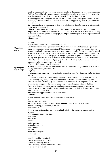|                     | point. In running text, only one space to follow a full stop that demarcates the end of a sentence.<br>Solidus: The solidus, also known variously as an oblique stroke, a slash or a shilling stroke, is<br>used for alternatives (and/or), to mean 'per' (km/day) and fractions (19/100).<br>Marketing years, financial years, etc. that do not coincide with calendar years are denoted by a<br>solidus, e.g. 1991/92, which is 12 months, rather than by a hyphen, e.g. 1991-92, which means<br>two years.<br>En rule /tiret/dash: never use as a hyphen or in listed points. It can be used as an alternative to<br>round brackets (see above).<br>Ellipsis:  is used to replace missing text. There should be one space on either side of the<br>ellipsis if it is in the middle of a sentence. 'Xxxx  xxx.' If at the end of a sentence, no full stop<br>is required. If replacing a line or paragraph, the ellipsis should be placed within square brackets<br>on a separate line.<br>'Xxx xxx xxx<br>$[]$<br>xxx xxx.' |
|---------------------|--------------------------------------------------------------------------------------------------------------------------------------------------------------------------------------------------------------------------------------------------------------------------------------------------------------------------------------------------------------------------------------------------------------------------------------------------------------------------------------------------------------------------------------------------------------------------------------------------------------------------------------------------------------------------------------------------------------------------------------------------------------------------------------------------------------------------------------------------------------------------------------------------------------------------------------------------------------------------------------------------------------------------------|
|                     | Ellipsis should not be used to replace the word 'etc.'                                                                                                                                                                                                                                                                                                                                                                                                                                                                                                                                                                                                                                                                                                                                                                                                                                                                                                                                                                         |
| Quotation<br>marks  | <b>Quotation marks:</b> Single quotation marks should always be used, but use double quotation<br>marks for a quotation within a quotation. If there should be yet another quotation within the<br>second quotation it is necessary to revert to single quotation marks. Punctuation must be placed<br>according to the sense; if it belongs to the quotation, it is quoted, otherwise it is not quoted. Do<br>not enclose titles of books, newspapers or foreign expressions in quotation marks as they are<br>usually displayed in italic. Use quotation marks to cite quotations from books and periodicals<br>rather than italic and do not indent passages of quoted text. The simultaneous use of italic and<br>quotation marks, however, must be avoided.<br>'They [the Lilliputians] rose like one man.'                                                                                                                                                                                                               |
| <b>Spelling and</b> | <b>Spelling</b> should follow the first entry in the <i>Concise Oxford Dictionary</i> , but use 's' in place of                                                                                                                                                                                                                                                                                                                                                                                                                                                                                                                                                                                                                                                                                                                                                                                                                                                                                                                |
| use of English      | 'z', e.g. characterise, specialise, etc.                                                                                                                                                                                                                                                                                                                                                                                                                                                                                                                                                                                                                                                                                                                                                                                                                                                                                                                                                                                       |
|                     | Hyphens:                                                                                                                                                                                                                                                                                                                                                                                                                                                                                                                                                                                                                                                                                                                                                                                                                                                                                                                                                                                                                       |
|                     | Hyphenate nouns composed of participle plus preposition (e.g. They discussed the buying-in of<br>sugar).                                                                                                                                                                                                                                                                                                                                                                                                                                                                                                                                                                                                                                                                                                                                                                                                                                                                                                                       |
|                     | Compound adjectives modifying a noun always take a hyphen (e.g. up-to-date statistics, in-                                                                                                                                                                                                                                                                                                                                                                                                                                                                                                                                                                                                                                                                                                                                                                                                                                                                                                                                     |
|                     | house training, long-term policies, foot-and-mouth disease) but policies in the long term.<br>Prefixes also take a hyphen (e.g. anti-American, non-cooperative, self-employed) unless the<br>prefix has become part of the word by usage (e.g. coordination, subsection, reshuffle).<br>Remove hyphens from words such as coordinate, cooperation, comanage, coworker, etc.<br>Note the use of: socioeconomic, macroeconomic, case-law, time limit, Advocate General, value<br>added, preempt, metaanalysis.                                                                                                                                                                                                                                                                                                                                                                                                                                                                                                                   |
|                     | Never replace a hyphen with an 'en' rule/dash/tiret.                                                                                                                                                                                                                                                                                                                                                                                                                                                                                                                                                                                                                                                                                                                                                                                                                                                                                                                                                                           |
|                     | General:                                                                                                                                                                                                                                                                                                                                                                                                                                                                                                                                                                                                                                                                                                                                                                                                                                                                                                                                                                                                                       |
|                     | competence and competences not competency, competencies                                                                                                                                                                                                                                                                                                                                                                                                                                                                                                                                                                                                                                                                                                                                                                                                                                                                                                                                                                        |
|                     | cv<br>database, data set, online                                                                                                                                                                                                                                                                                                                                                                                                                                                                                                                                                                                                                                                                                                                                                                                                                                                                                                                                                                                               |
|                     | each other means two people whereas one another means more than two people                                                                                                                                                                                                                                                                                                                                                                                                                                                                                                                                                                                                                                                                                                                                                                                                                                                                                                                                                     |
|                     | e-mail, e-learning, e-commerce, e-business                                                                                                                                                                                                                                                                                                                                                                                                                                                                                                                                                                                                                                                                                                                                                                                                                                                                                                                                                                                     |
|                     | extracurricular                                                                                                                                                                                                                                                                                                                                                                                                                                                                                                                                                                                                                                                                                                                                                                                                                                                                                                                                                                                                                |
|                     | fewer is used for things that can be counted individually whereas less is used for bulk or<br>volume                                                                                                                                                                                                                                                                                                                                                                                                                                                                                                                                                                                                                                                                                                                                                                                                                                                                                                                           |
|                     | lifelong not life long or life-long<br>mid-1990s                                                                                                                                                                                                                                                                                                                                                                                                                                                                                                                                                                                                                                                                                                                                                                                                                                                                                                                                                                               |
|                     | neoclassic                                                                                                                                                                                                                                                                                                                                                                                                                                                                                                                                                                                                                                                                                                                                                                                                                                                                                                                                                                                                                     |
|                     | online                                                                                                                                                                                                                                                                                                                                                                                                                                                                                                                                                                                                                                                                                                                                                                                                                                                                                                                                                                                                                         |
|                     | policy-makers<br>sectoral not sectorial                                                                                                                                                                                                                                                                                                                                                                                                                                                                                                                                                                                                                                                                                                                                                                                                                                                                                                                                                                                        |
|                     | transnational                                                                                                                                                                                                                                                                                                                                                                                                                                                                                                                                                                                                                                                                                                                                                                                                                                                                                                                                                                                                                  |
|                     | website                                                                                                                                                                                                                                                                                                                                                                                                                                                                                                                                                                                                                                                                                                                                                                                                                                                                                                                                                                                                                        |
|                     | workforce, workplace                                                                                                                                                                                                                                                                                                                                                                                                                                                                                                                                                                                                                                                                                                                                                                                                                                                                                                                                                                                                           |
|                     | worldwide                                                                                                                                                                                                                                                                                                                                                                                                                                                                                                                                                                                                                                                                                                                                                                                                                                                                                                                                                                                                                      |
|                     | benefit, benefiting, benefited                                                                                                                                                                                                                                                                                                                                                                                                                                                                                                                                                                                                                                                                                                                                                                                                                                                                                                                                                                                                 |
|                     | combat, combating, combated                                                                                                                                                                                                                                                                                                                                                                                                                                                                                                                                                                                                                                                                                                                                                                                                                                                                                                                                                                                                    |
|                     | focus (-es), focusing, focused                                                                                                                                                                                                                                                                                                                                                                                                                                                                                                                                                                                                                                                                                                                                                                                                                                                                                                                                                                                                 |
|                     | level, levelling, levelled (and counsel, label)<br>refer, referring, referred                                                                                                                                                                                                                                                                                                                                                                                                                                                                                                                                                                                                                                                                                                                                                                                                                                                                                                                                                  |
|                     |                                                                                                                                                                                                                                                                                                                                                                                                                                                                                                                                                                                                                                                                                                                                                                                                                                                                                                                                                                                                                                |